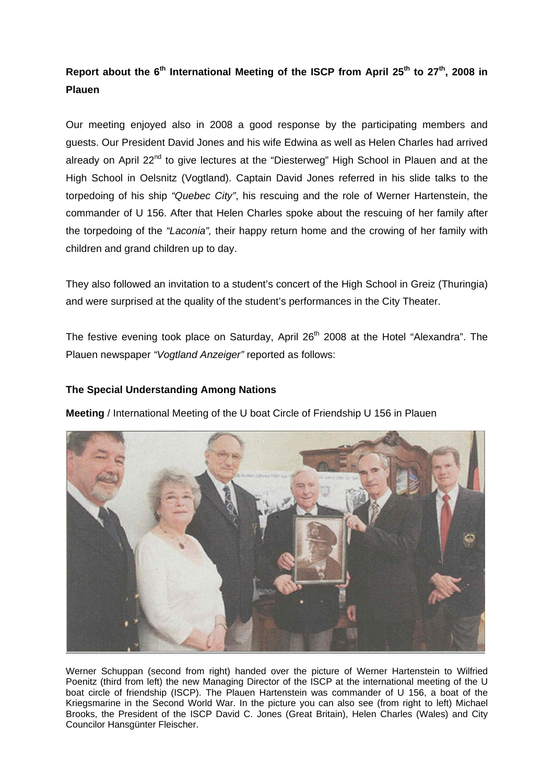## Report about the 6<sup>th</sup> International Meeting of the ISCP from April 25<sup>th</sup> to 27<sup>th</sup>, 2008 in **Plauen**

Our meeting enjoyed also in 2008 a good response by the participating members and guests. Our President David Jones and his wife Edwina as well as Helen Charles had arrived already on April 22<sup>nd</sup> to give lectures at the "Diesterweg" High School in Plauen and at the High School in Oelsnitz (Vogtland). Captain David Jones referred in his slide talks to the torpedoing of his ship *"Quebec City"*, his rescuing and the role of Werner Hartenstein, the commander of U 156. After that Helen Charles spoke about the rescuing of her family after the torpedoing of the *"Laconia",* their happy return home and the crowing of her family with children and grand children up to day.

They also followed an invitation to a student's concert of the High School in Greiz (Thuringia) and were surprised at the quality of the student's performances in the City Theater.

The festive evening took place on Saturday, April 26<sup>th</sup> 2008 at the Hotel "Alexandra". The Plauen newspaper *"Vogtland Anzeiger"* reported as follows:

## **The Special Understanding Among Nations**

**Meeting** / International Meeting of the U boat Circle of Friendship U 156 in Plauen



Werner Schuppan (second from right) handed over the picture of Werner Hartenstein to Wilfried Poenitz (third from left) the new Managing Director of the ISCP at the international meeting of the U boat circle of friendship (ISCP). The Plauen Hartenstein was commander of U 156, a boat of the Kriegsmarine in the Second World War. In the picture you can also see (from right to left) Michael Brooks, the President of the ISCP David C. Jones (Great Britain), Helen Charles (Wales) and City Councilor Hansgünter Fleischer.